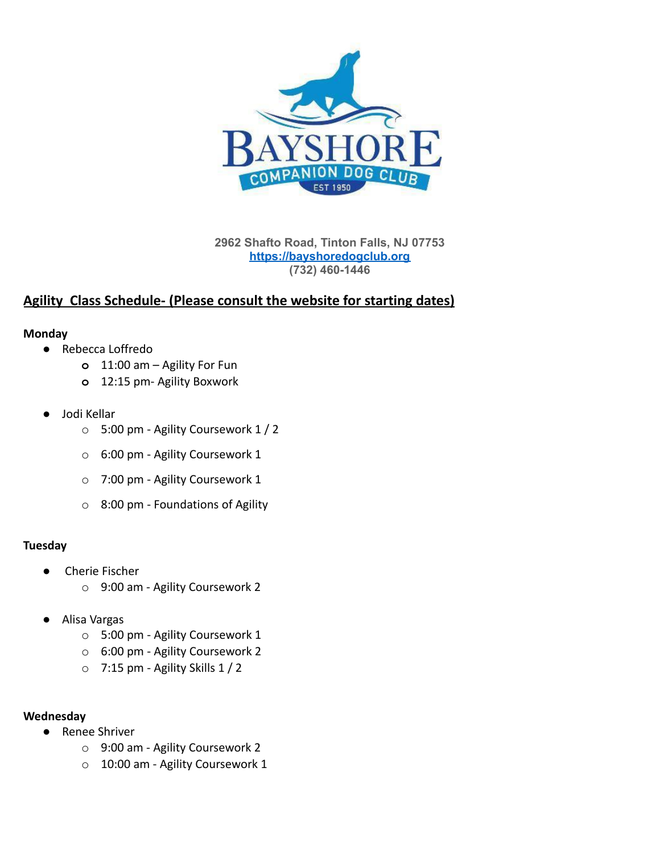

**2962 Shafto Road, Tinton Falls, NJ 07753 <https://bayshoredogclub.org> (732) 460-1446**

# **Agility Class Schedule- (Please consult the website for starting dates)**

### **Monday**

- Rebecca Loffredo
	- **o** 11:00 am Agility For Fun
	- **o** 12:15 pm- Agility Boxwork
- Jodi Kellar
	- o 5:00 pm Agility Coursework 1 / 2
	- o 6:00 pm Agility Coursework 1
	- o 7:00 pm Agility Coursework 1
	- o 8:00 pm Foundations of Agility

### **Tuesday**

- Cherie Fischer
	- o 9:00 am Agility Coursework 2
- Alisa Vargas
	- o 5:00 pm Agility Coursework 1
	- o 6:00 pm Agility Coursework 2
	- $\circ$  7:15 pm Agility Skills 1 / 2

### **Wednesday**

- Renee Shriver
	- o 9:00 am Agility Coursework 2
	- o 10:00 am Agility Coursework 1